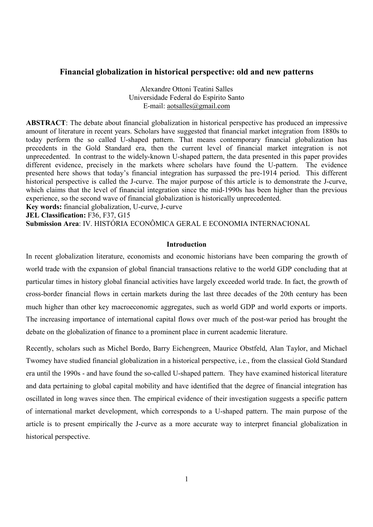### **Financial globalization in historical perspective: old and new patterns**

Alexandre Ottoni Teatini Salles Universidade Federal do Espírito Santo E-mail: aotsalles@gmail.com

**ABSTRACT**: The debate about financial globalization in historical perspective has produced an impressive amount of literature in recent years. Scholars have suggested that financial market integration from 1880s to today perform the so called U-shaped pattern. That means contemporary financial globalization has precedents in the Gold Standard era, then the current level of financial market integration is not unprecedented. In contrast to the widely-known U-shaped pattern, the data presented in this paper provides different evidence, precisely in the markets where scholars have found the U-pattern. The evidence presented here shows that today's financial integration has surpassed the pre-1914 period. This different historical perspective is called the J-curve. The major purpose of this article is to demonstrate the J-curve, which claims that the level of financial integration since the mid-1990s has been higher than the previous experience, so the second wave of financial globalization is historically unprecedented.

**Key words:** financial globalization, U-curve, J-curve

**JEL Classification:** F36, F37, G15

**Submission Area**: IV. HISTÓRIA ECONÔMICA GERAL E ECONOMIA INTERNACIONAL

#### **Introduction**

In recent globalization literature, economists and economic historians have been comparing the growth of world trade with the expansion of global financial transactions relative to the world GDP concluding that at particular times in history global financial activities have largely exceeded world trade. In fact, the growth of cross-border financial flows in certain markets during the last three decades of the 20th century has been much higher than other key macroeconomic aggregates, such as world GDP and world exports or imports. The increasing importance of international capital flows over much of the post-war period has brought the debate on the globalization of finance to a prominent place in current academic literature.

Recently, scholars such as Michel Bordo, Barry Eichengreen, Maurice Obstfeld, Alan Taylor, and Michael Twomey have studied financial globalization in a historical perspective, i.e., from the classical Gold Standard era until the 1990s - and have found the so-called U-shaped pattern. They have examined historical literature and data pertaining to global capital mobility and have identified that the degree of financial integration has oscillated in long waves since then. The empirical evidence of their investigation suggests a specific pattern of international market development, which corresponds to a U-shaped pattern. The main purpose of the article is to present empirically the J-curve as a more accurate way to interpret financial globalization in historical perspective.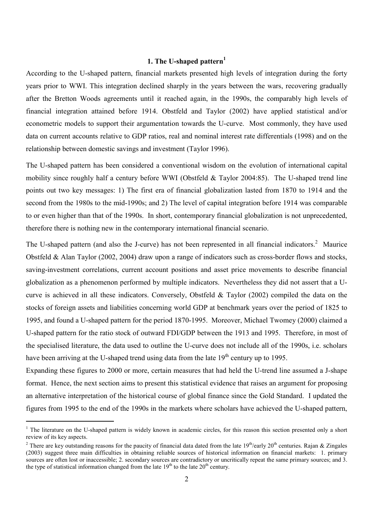## **1. The U-shaped pattern<sup>1</sup>**

According to the U-shaped pattern, financial markets presented high levels of integration during the forty years prior to WWI. This integration declined sharply in the years between the wars, recovering gradually after the Bretton Woods agreements until it reached again, in the 1990s, the comparably high levels of financial integration attained before 1914. Obstfeld and Taylor (2002) have applied statistical and/or econometric models to support their argumentation towards the U-curve. Most commonly, they have used data on current accounts relative to GDP ratios, real and nominal interest rate differentials (1998) and on the relationship between domestic savings and investment (Taylor 1996).

The U-shaped pattern has been considered a conventional wisdom on the evolution of international capital mobility since roughly half a century before WWI (Obstfeld & Taylor 2004:85). The U-shaped trend line points out two key messages: 1) The first era of financial globalization lasted from 1870 to 1914 and the second from the 1980s to the mid-1990s; and 2) The level of capital integration before 1914 was comparable to or even higher than that of the 1990s. In short, contemporary financial globalization is not unprecedented, therefore there is nothing new in the contemporary international financial scenario.

The U-shaped pattern (and also the J-curve) has not been represented in all financial indicators.<sup>2</sup> Maurice Obstfeld & Alan Taylor (2002, 2004) draw upon a range of indicators such as cross-border flows and stocks, saving-investment correlations, current account positions and asset price movements to describe financial globalization as a phenomenon performed by multiple indicators. Nevertheless they did not assert that a Ucurve is achieved in all these indicators. Conversely, Obstfeld & Taylor (2002) compiled the data on the stocks of foreign assets and liabilities concerning world GDP at benchmark years over the period of 1825 to 1995, and found a U-shaped pattern for the period 1870-1995. Moreover, Michael Twomey (2000) claimed a U-shaped pattern for the ratio stock of outward FDI/GDP between the 1913 and 1995. Therefore, in most of the specialised literature, the data used to outline the U-curve does not include all of the 1990s, i.e. scholars have been arriving at the U-shaped trend using data from the late  $19<sup>th</sup>$  century up to 1995.

Expanding these figures to 2000 or more, certain measures that had held the U-trend line assumed a J-shape format. Hence, the next section aims to present this statistical evidence that raises an argument for proposing an alternative interpretation of the historical course of global finance since the Gold Standard. I updated the figures from 1995 to the end of the 1990s in the markets where scholars have achieved the U-shaped pattern,

<sup>&</sup>lt;sup>1</sup> The literature on the U-shaped pattern is widely known in academic circles, for this reason this section presented only a short review of its key aspects.

<sup>&</sup>lt;sup>2</sup> There are key outstanding reasons for the paucity of financial data dated from the late 19<sup>th</sup>/early 20<sup>th</sup> centuries. Rajan & Zingales (2003) suggest three main difficulties in obtaining reliable sources of historical information on financial markets: 1. primary sources are often lost or inaccessible; 2. secondary sources are contradictory or uncritically repeat the same primary sources; and 3. the type of statistical information changed from the late  $19<sup>th</sup>$  to the late  $20<sup>th</sup>$  century.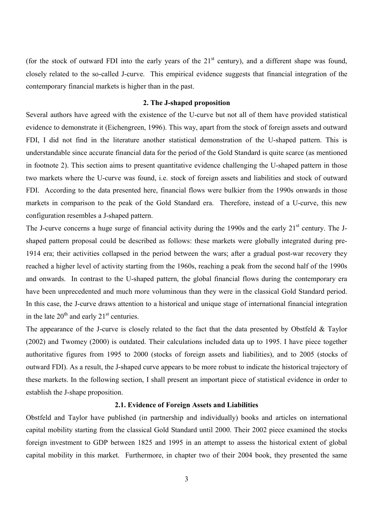(for the stock of outward FDI into the early years of the  $21<sup>st</sup>$  century), and a different shape was found, closely related to the so-called J-curve. This empirical evidence suggests that financial integration of the contemporary financial markets is higher than in the past.

#### **2. The J-shaped proposition**

Several authors have agreed with the existence of the U-curve but not all of them have provided statistical evidence to demonstrate it (Eichengreen, 1996). This way, apart from the stock of foreign assets and outward FDI, I did not find in the literature another statistical demonstration of the U-shaped pattern. This is understandable since accurate financial data for the period of the Gold Standard is quite scarce (as mentioned in footnote 2). This section aims to present quantitative evidence challenging the U-shaped pattern in those two markets where the U-curve was found, i.e. stock of foreign assets and liabilities and stock of outward FDI. According to the data presented here, financial flows were bulkier from the 1990s onwards in those markets in comparison to the peak of the Gold Standard era. Therefore, instead of a U-curve, this new configuration resembles a J-shaped pattern.

The J-curve concerns a huge surge of financial activity during the 1990s and the early 21<sup>st</sup> century. The Jshaped pattern proposal could be described as follows: these markets were globally integrated during pre-1914 era; their activities collapsed in the period between the wars; after a gradual post-war recovery they reached a higher level of activity starting from the 1960s, reaching a peak from the second half of the 1990s and onwards. In contrast to the U-shaped pattern, the global financial flows during the contemporary era have been unprecedented and much more voluminous than they were in the classical Gold Standard period. In this case, the J-curve draws attention to a historical and unique stage of international financial integration in the late  $20<sup>th</sup>$  and early  $21<sup>st</sup>$  centuries.

The appearance of the J-curve is closely related to the fact that the data presented by Obstfeld & Taylor (2002) and Twomey (2000) is outdated. Their calculations included data up to 1995. I have piece together authoritative figures from 1995 to 2000 (stocks of foreign assets and liabilities), and to 2005 (stocks of outward FDI). As a result, the J-shaped curve appears to be more robust to indicate the historical trajectory of these markets. In the following section, I shall present an important piece of statistical evidence in order to establish the J-shape proposition.

#### **2.1. Evidence of Foreign Assets and Liabilities**

Obstfeld and Taylor have published (in partnership and individually) books and articles on international capital mobility starting from the classical Gold Standard until 2000. Their 2002 piece examined the stocks foreign investment to GDP between 1825 and 1995 in an attempt to assess the historical extent of global capital mobility in this market. Furthermore, in chapter two of their 2004 book, they presented the same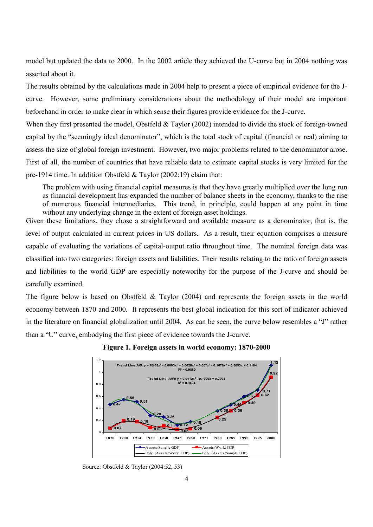model but updated the data to 2000. In the 2002 article they achieved the U-curve but in 2004 nothing was asserted about it.

The results obtained by the calculations made in 2004 help to present a piece of empirical evidence for the Jcurve. However, some preliminary considerations about the methodology of their model are important beforehand in order to make clear in which sense their figures provide evidence for the J-curve.

When they first presented the model, Obstfeld & Taylor (2002) intended to divide the stock of foreign-owned capital by the "seemingly ideal denominator", which is the total stock of capital (financial or real) aiming to assess the size of global foreign investment. However, two major problems related to the denominator arose. First of all, the number of countries that have reliable data to estimate capital stocks is very limited for the pre-1914 time. In addition Obstfeld & Taylor (2002:19) claim that:

The problem with using financial capital measures is that they have greatly multiplied over the long run as financial development has expanded the number of balance sheets in the economy, thanks to the rise of numerous financial intermediaries. This trend, in principle, could happen at any point in time without any underlying change in the extent of foreign asset holdings.

Given these limitations, they chose a straightforward and available measure as a denominator, that is, the level of output calculated in current prices in US dollars. As a result, their equation comprises a measure capable of evaluating the variations of capital-output ratio throughout time. The nominal foreign data was classified into two categories: foreign assets and liabilities. Their results relating to the ratio of foreign assets and liabilities to the world GDP are especially noteworthy for the purpose of the J-curve and should be carefully examined.

The figure below is based on Obstfeld  $\&$  Taylor (2004) and represents the foreign assets in the world economy between 1870 and 2000. It represents the best global indication for this sort of indicator achieved in the literature on financial globalization until 2004. As can be seen, the curve below resembles a "J" rather than a "U" curve, embodying the first piece of evidence towards the J-curve.



**Figure 1. Foreign assets in world economy: 1870-2000**

Source: Obstfeld & Taylor (2004:52, 53)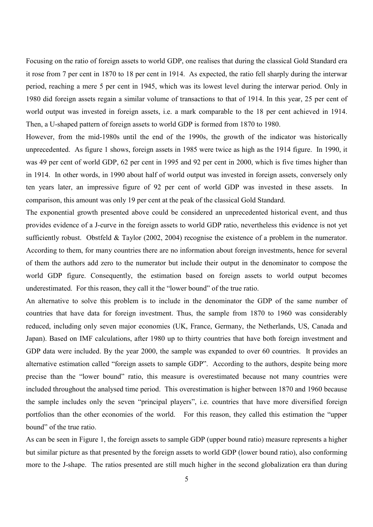Focusing on the ratio of foreign assets to world GDP, one realises that during the classical Gold Standard era it rose from 7 per cent in 1870 to 18 per cent in 1914. As expected, the ratio fell sharply during the interwar period, reaching a mere 5 per cent in 1945, which was its lowest level during the interwar period. Only in 1980 did foreign assets regain a similar volume of transactions to that of 1914. In this year, 25 per cent of world output was invested in foreign assets, i.e. a mark comparable to the 18 per cent achieved in 1914. Then, a U-shaped pattern of foreign assets to world GDP is formed from 1870 to 1980.

However, from the mid-1980s until the end of the 1990s, the growth of the indicator was historically unprecedented. As figure 1 shows, foreign assets in 1985 were twice as high as the 1914 figure. In 1990, it was 49 per cent of world GDP, 62 per cent in 1995 and 92 per cent in 2000, which is five times higher than in 1914. In other words, in 1990 about half of world output was invested in foreign assets, conversely only ten years later, an impressive figure of 92 per cent of world GDP was invested in these assets. In comparison, this amount was only 19 per cent at the peak of the classical Gold Standard.

The exponential growth presented above could be considered an unprecedented historical event, and thus provides evidence of a J-curve in the foreign assets to world GDP ratio, nevertheless this evidence is not yet sufficiently robust. Obstfeld & Taylor (2002, 2004) recognise the existence of a problem in the numerator. According to them, for many countries there are no information about foreign investments, hence for several of them the authors add zero to the numerator but include their output in the denominator to compose the world GDP figure. Consequently, the estimation based on foreign assets to world output becomes underestimated. For this reason, they call it the "lower bound" of the true ratio.

An alternative to solve this problem is to include in the denominator the GDP of the same number of countries that have data for foreign investment. Thus, the sample from 1870 to 1960 was considerably reduced, including only seven major economies (UK, France, Germany, the Netherlands, US, Canada and Japan). Based on IMF calculations, after 1980 up to thirty countries that have both foreign investment and GDP data were included. By the year 2000, the sample was expanded to over 60 countries. It provides an alternative estimation called "foreign assets to sample GDP". According to the authors, despite being more precise than the "lower bound" ratio, this measure is overestimated because not many countries were included throughout the analysed time period. This overestimation is higher between 1870 and 1960 because the sample includes only the seven "principal players", i.e. countries that have more diversified foreign portfolios than the other economies of the world. For this reason, they called this estimation the "upper bound" of the true ratio.

As can be seen in Figure 1, the foreign assets to sample GDP (upper bound ratio) measure represents a higher but similar picture as that presented by the foreign assets to world GDP (lower bound ratio), also conforming more to the J-shape. The ratios presented are still much higher in the second globalization era than during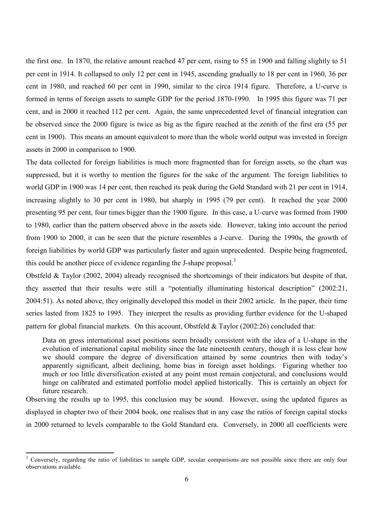the first one. In 1870, the relative amount reached 47 per cent, rising to 55 in 1900 and falling slightly to 51 per cent in 1914. It collapsed to only 12 per cent in 1945, ascending gradually to 18 per cent in 1960, 36 per cent in 1980, and reached 60 per cent in 1990, similar to the circa 1914 figure. Therefore, a U-curve is formed in terms of foreign assets to sample GDP for the period 1870-1990. In 1995 this figure was 71 per cent, and in 2000 it reached 112 per cent. Again, the same unprecedented level of financial integration can be observed since the 2000 figure is twice as big as the figure reached at the zenith of the first era (55 per cent in 1900). This means an amount equivalent to more than the whole world output was invested in foreign assets in 2000 in comparison to 1900.

The data collected for foreign liabilities is much more fragmented than for foreign assets, so the chart was suppressed, but it is worthy to mention the figures for the sake of the argument. The foreign liabilities to world GDP in 1900 was 14 per cent, then reached its peak during the Gold Standard with 21 per cent in 1914, increasing slightly to 30 per cent in 1980, but sharply in 1995 (79 per cent). It reached the year 2000 presenting 95 per cent, four times bigger than the 1900 figure. In this case, a U-curve was formed from 1900 to 1980, earlier than the pattern observed above in the assets side. However, taking into account the period from 1900 to 2000, it can be seen that the picture resembles a J-curve. During the 1990s, the growth of foreign liabilities by world GDP was particularly faster and again unprecedented. Despite being fragmented, this could be another piece of evidence regarding the J-shape proposal.<sup>3</sup>

Obstfeld & Taylor (2002, 2004) already recognised the shortcomings of their indicators but despite of that, they asserted that their results were still a "potentially illuminating historical description" (2002:21, 2004:51). As noted above, they originally developed this model in their 2002 article. In the paper, their time series lasted from 1825 to 1995. They interpret the results as providing further evidence for the U-shaped pattern for global financial markets. On this account, Obstfeld & Taylor (2002:26) concluded that:

Data on gross international asset positions seem broadly consistent with the idea of a U-shape in the evolution of international capital mobility since the late nineteenth century, though it is less clear how we should compare the degree of diversification attained by some countries then with today's apparently significant, albeit declining, home bias in foreign asset holdings. Figuring whether too much or too little diversification existed at any point must remain conjectural, and conclusions would hinge on calibrated and estimated portfolio model applied historically. This is certainly an object for future research.

Observing the results up to 1995, this conclusion may be sound. However, using the updated figures as displayed in chapter two of their 2004 book, one realises that in any case the ratios of foreign capital stocks in 2000 returned to levels comparable to the Gold Standard era. Conversely, in 2000 all coefficients were

<sup>&</sup>lt;sup>3</sup> Conversely, regarding the ratio of liabilities to sample GDP, secular comparisons are not possible since there are only four observations available.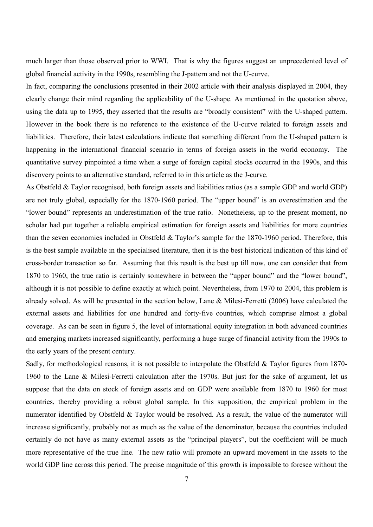much larger than those observed prior to WWI. That is why the figures suggest an unprecedented level of global financial activity in the 1990s, resembling the J-pattern and not the U-curve.

In fact, comparing the conclusions presented in their 2002 article with their analysis displayed in 2004, they clearly change their mind regarding the applicability of the U-shape. As mentioned in the quotation above, using the data up to 1995, they asserted that the results are "broadly consistent" with the U-shaped pattern. However in the book there is no reference to the existence of the U-curve related to foreign assets and liabilities. Therefore, their latest calculations indicate that something different from the U-shaped pattern is happening in the international financial scenario in terms of foreign assets in the world economy. The quantitative survey pinpointed a time when a surge of foreign capital stocks occurred in the 1990s, and this discovery points to an alternative standard, referred to in this article as the J-curve.

As Obstfeld & Taylor recognised, both foreign assets and liabilities ratios (as a sample GDP and world GDP) are not truly global, especially for the 1870-1960 period. The "upper bound" is an overestimation and the "lower bound" represents an underestimation of the true ratio. Nonetheless, up to the present moment, no scholar had put together a reliable empirical estimation for foreign assets and liabilities for more countries than the seven economies included in Obstfeld & Taylor's sample for the 1870-1960 period. Therefore, this is the best sample available in the specialised literature, then it is the best historical indication of this kind of cross-border transaction so far. Assuming that this result is the best up till now, one can consider that from 1870 to 1960, the true ratio is certainly somewhere in between the "upper bound" and the "lower bound", although it is not possible to define exactly at which point. Nevertheless, from 1970 to 2004, this problem is already solved. As will be presented in the section below, Lane & Milesi-Ferretti (2006) have calculated the external assets and liabilities for one hundred and forty-five countries, which comprise almost a global coverage. As can be seen in figure 5, the level of international equity integration in both advanced countries and emerging markets increased significantly, performing a huge surge of financial activity from the 1990s to the early years of the present century.

Sadly, for methodological reasons, it is not possible to interpolate the Obstfeld & Taylor figures from 1870- 1960 to the Lane & Milesi-Ferretti calculation after the 1970s. But just for the sake of argument, let us suppose that the data on stock of foreign assets and on GDP were available from 1870 to 1960 for most countries, thereby providing a robust global sample. In this supposition, the empirical problem in the numerator identified by Obstfeld & Taylor would be resolved. As a result, the value of the numerator will increase significantly, probably not as much as the value of the denominator, because the countries included certainly do not have as many external assets as the "principal players", but the coefficient will be much more representative of the true line. The new ratio will promote an upward movement in the assets to the world GDP line across this period. The precise magnitude of this growth is impossible to foresee without the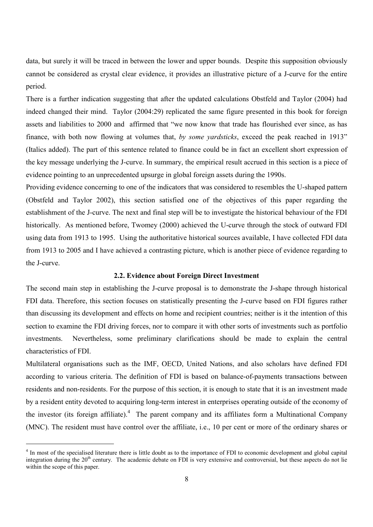data, but surely it will be traced in between the lower and upper bounds. Despite this supposition obviously cannot be considered as crystal clear evidence, it provides an illustrative picture of a J-curve for the entire period.

There is a further indication suggesting that after the updated calculations Obstfeld and Taylor (2004) had indeed changed their mind. Taylor (2004:29) replicated the same figure presented in this book for foreign assets and liabilities to 2000 and affirmed that "we now know that trade has flourished ever since, as has finance, with both now flowing at volumes that, *by some yardsticks*, exceed the peak reached in 1913" (Italics added). The part of this sentence related to finance could be in fact an excellent short expression of the key message underlying the J-curve. In summary, the empirical result accrued in this section is a piece of evidence pointing to an unprecedented upsurge in global foreign assets during the 1990s.

Providing evidence concerning to one of the indicators that was considered to resembles the U-shaped pattern (Obstfeld and Taylor 2002), this section satisfied one of the objectives of this paper regarding the establishment of the J-curve. The next and final step will be to investigate the historical behaviour of the FDI historically. As mentioned before, Twomey (2000) achieved the U-curve through the stock of outward FDI using data from 1913 to 1995. Using the authoritative historical sources available, I have collected FDI data from 1913 to 2005 and I have achieved a contrasting picture, which is another piece of evidence regarding to the J-curve.

#### **2.2. Evidence about Foreign Direct Investment**

The second main step in establishing the J-curve proposal is to demonstrate the J-shape through historical FDI data. Therefore, this section focuses on statistically presenting the J-curve based on FDI figures rather than discussing its development and effects on home and recipient countries; neither is it the intention of this section to examine the FDI driving forces, nor to compare it with other sorts of investments such as portfolio investments. Nevertheless, some preliminary clarifications should be made to explain the central characteristics of FDI.

Multilateral organisations such as the IMF, OECD, United Nations, and also scholars have defined FDI according to various criteria. The definition of FDI is based on balance-of-payments transactions between residents and non-residents. For the purpose of this section, it is enough to state that it is an investment made by a resident entity devoted to acquiring long-term interest in enterprises operating outside of the economy of the investor (its foreign affiliate).<sup>4</sup> The parent company and its affiliates form a Multinational Company (MNC). The resident must have control over the affiliate, i.e., 10 per cent or more of the ordinary shares or

<sup>&</sup>lt;sup>4</sup> In most of the specialised literature there is little doubt as to the importance of FDI to economic development and global capital integration during the 20<sup>th</sup> century. The academic debate on FDI is very extensive and controversial, but these aspects do not lie within the scope of this paper.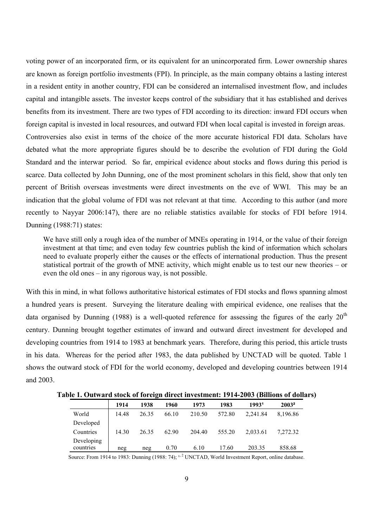voting power of an incorporated firm, or its equivalent for an unincorporated firm. Lower ownership shares are known as foreign portfolio investments (FPI). In principle, as the main company obtains a lasting interest in a resident entity in another country, FDI can be considered an internalised investment flow, and includes capital and intangible assets. The investor keeps control of the subsidiary that it has established and derives benefits from its investment. There are two types of FDI according to its direction: inward FDI occurs when foreign capital is invested in local resources, and outward FDI when local capital is invested in foreign areas. Controversies also exist in terms of the choice of the more accurate historical FDI data. Scholars have debated what the more appropriate figures should be to describe the evolution of FDI during the Gold Standard and the interwar period. So far, empirical evidence about stocks and flows during this period is scarce. Data collected by John Dunning, one of the most prominent scholars in this field, show that only ten percent of British overseas investments were direct investments on the eve of WWI. This may be an indication that the global volume of FDI was not relevant at that time. According to this author (and more recently to Nayyar 2006:147), there are no reliable statistics available for stocks of FDI before 1914. Dunning (1988:71) states:

We have still only a rough idea of the number of MNEs operating in 1914, or the value of their foreign investment at that time; and even today few countries publish the kind of information which scholars need to evaluate properly either the causes or the effects of international production. Thus the present statistical portrait of the growth of MNE activity, which might enable us to test our new theories – or even the old ones – in any rigorous way, is not possible.

With this in mind, in what follows authoritative historical estimates of FDI stocks and flows spanning almost a hundred years is present. Surveying the literature dealing with empirical evidence, one realises that the data organised by Dunning (1988) is a well-quoted reference for assessing the figures of the early  $20<sup>th</sup>$ century. Dunning brought together estimates of inward and outward direct investment for developed and developing countries from 1914 to 1983 at benchmark years. Therefore, during this period, this article trusts in his data. Whereas for the period after 1983, the data published by UNCTAD will be quoted. Table 1 shows the outward stock of FDI for the world economy, developed and developing countries between 1914 and 2003.

| $\frac{1}{2}$ . Outward stock of foreign un eet investment. 1914 2000 |       |       |       |        |        |          | <i>DHIIVIIS</i> VI WOHA. |
|-----------------------------------------------------------------------|-------|-------|-------|--------|--------|----------|--------------------------|
|                                                                       | 1914  | 1938  | 1960  | 1973   | 1983   | 19931    | 2003 <sup>2</sup>        |
| World                                                                 | 14.48 | 26.35 | 66.10 | 210.50 | 572.80 | 2,241.84 | 8,196.86                 |
| Developed                                                             |       |       |       |        |        |          |                          |
| Countries                                                             | 14.30 | 26.35 | 62.90 | 204.40 | 555.20 | 2,033.61 | 7.272.32                 |
| Developing<br>countries                                               |       |       | 0.70  | 6.10   | 17.60  | 203.35   | 858.68                   |
|                                                                       | neg   | neg   |       |        |        |          |                          |

**Table 1. Outward stock of foreign direct investment: 1914-2003 (Billions of dollars)** 

Source: From 1914 to 1983: Dunning (1988: 74);  $^{1,2}$  UNCTAD, World Investment Report, online database.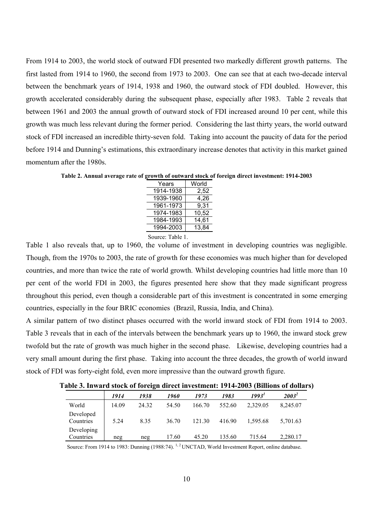From 1914 to 2003, the world stock of outward FDI presented two markedly different growth patterns. The first lasted from 1914 to 1960, the second from 1973 to 2003. One can see that at each two-decade interval between the benchmark years of 1914, 1938 and 1960, the outward stock of FDI doubled. However, this growth accelerated considerably during the subsequent phase, especially after 1983. Table 2 reveals that between 1961 and 2003 the annual growth of outward stock of FDI increased around 10 per cent, while this growth was much less relevant during the former period. Considering the last thirty years, the world outward stock of FDI increased an incredible thirty-seven fold. Taking into account the paucity of data for the period before 1914 and Dunning's estimations, this extraordinary increase denotes that activity in this market gained momentum after the 1980s.

**Table 2. Annual average rate of growth of outward stock of foreign direct investment: 1914-2003**

| Years     | World |
|-----------|-------|
| 1914-1938 | 2,52  |
| 1939-1960 | 4,26  |
| 1961-1973 | 9,31  |
| 1974-1983 | 10,52 |
| 1984-1993 | 14,61 |
| 1994-2003 | 13,84 |
|           |       |

Source: Table 1.

Table 1 also reveals that, up to 1960, the volume of investment in developing countries was negligible. Though, from the 1970s to 2003, the rate of growth for these economies was much higher than for developed countries, and more than twice the rate of world growth. Whilst developing countries had little more than 10 per cent of the world FDI in 2003, the figures presented here show that they made significant progress throughout this period, even though a considerable part of this investment is concentrated in some emerging countries, especially in the four BRIC economies (Brazil, Russia, India, and China).

A similar pattern of two distinct phases occurred with the world inward stock of FDI from 1914 to 2003. Table 3 reveals that in each of the intervals between the benchmark years up to 1960, the inward stock grew twofold but the rate of growth was much higher in the second phase. Likewise, developing countries had a very small amount during the first phase. Taking into account the three decades, the growth of world inward stock of FDI was forty-eight fold, even more impressive than the outward growth figure.

**Table 3. Inward stock of foreign direct investment: 1914-2003 (Billions of dollars)** 

|                         | 1914  | -<br>1938 | 1960  | 1973   | 1983   | 1993'    | $2003^2$ |
|-------------------------|-------|-----------|-------|--------|--------|----------|----------|
| World                   | 14.09 | 24.32     | 54.50 | 166.70 | 552.60 | 2,329.05 | 8,245.07 |
| Developed<br>Countries  | 5.24  | 8.35      | 36.70 | 121.30 | 416.90 | 1,595.68 | 5,701.63 |
| Developing<br>Countries | neg   | neg       | 17.60 | 45.20  | 135.60 | 715.64   | 2,280.17 |

Source: From 1914 to 1983: Dunning (1988:74).<sup>1,2</sup> UNCTAD, World Investment Report, online database.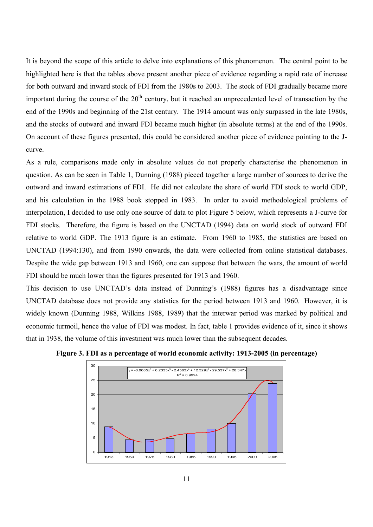It is beyond the scope of this article to delve into explanations of this phenomenon. The central point to be highlighted here is that the tables above present another piece of evidence regarding a rapid rate of increase for both outward and inward stock of FDI from the 1980s to 2003. The stock of FDI gradually became more important during the course of the  $20<sup>th</sup>$  century, but it reached an unprecedented level of transaction by the end of the 1990s and beginning of the 21st century. The 1914 amount was only surpassed in the late 1980s, and the stocks of outward and inward FDI became much higher (in absolute terms) at the end of the 1990s. On account of these figures presented, this could be considered another piece of evidence pointing to the Jcurve.

As a rule, comparisons made only in absolute values do not properly characterise the phenomenon in question. As can be seen in Table 1, Dunning (1988) pieced together a large number of sources to derive the outward and inward estimations of FDI. He did not calculate the share of world FDI stock to world GDP, and his calculation in the 1988 book stopped in 1983. In order to avoid methodological problems of interpolation, I decided to use only one source of data to plot Figure 5 below, which represents a J-curve for FDI stocks. Therefore, the figure is based on the UNCTAD (1994) data on world stock of outward FDI relative to world GDP. The 1913 figure is an estimate. From 1960 to 1985, the statistics are based on UNCTAD (1994:130), and from 1990 onwards, the data were collected from online statistical databases. Despite the wide gap between 1913 and 1960, one can suppose that between the wars, the amount of world FDI should be much lower than the figures presented for 1913 and 1960.

This decision to use UNCTAD's data instead of Dunning's (1988) figures has a disadvantage since UNCTAD database does not provide any statistics for the period between 1913 and 1960. However, it is widely known (Dunning 1988, Wilkins 1988, 1989) that the interwar period was marked by political and economic turmoil, hence the value of FDI was modest. In fact, table 1 provides evidence of it, since it shows that in 1938, the volume of this investment was much lower than the subsequent decades.



**Figure 3. FDI as a percentage of world economic activity: 1913-2005 (in percentage)**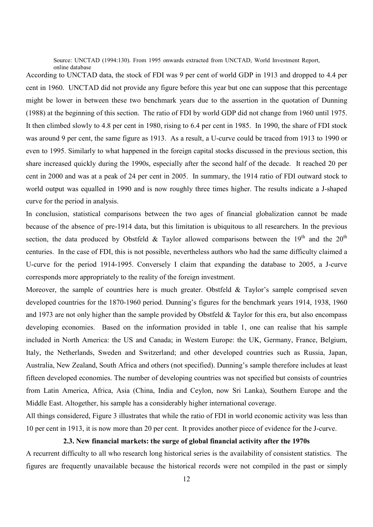Source: UNCTAD (1994:130). From 1995 onwards extracted from UNCTAD, World Investment Report, online database

According to UNCTAD data, the stock of FDI was 9 per cent of world GDP in 1913 and dropped to 4.4 per cent in 1960. UNCTAD did not provide any figure before this year but one can suppose that this percentage might be lower in between these two benchmark years due to the assertion in the quotation of Dunning (1988) at the beginning of this section. The ratio of FDI by world GDP did not change from 1960 until 1975. It then climbed slowly to 4.8 per cent in 1980, rising to 6.4 per cent in 1985. In 1990, the share of FDI stock was around 9 per cent, the same figure as 1913. As a result, a U-curve could be traced from 1913 to 1990 or even to 1995. Similarly to what happened in the foreign capital stocks discussed in the previous section, this share increased quickly during the 1990s, especially after the second half of the decade. It reached 20 per cent in 2000 and was at a peak of 24 per cent in 2005. In summary, the 1914 ratio of FDI outward stock to world output was equalled in 1990 and is now roughly three times higher. The results indicate a J-shaped curve for the period in analysis.

In conclusion, statistical comparisons between the two ages of financial globalization cannot be made because of the absence of pre-1914 data, but this limitation is ubiquitous to all researchers. In the previous section, the data produced by Obstfeld & Taylor allowed comparisons between the 19<sup>th</sup> and the 20<sup>th</sup> centuries. In the case of FDI, this is not possible, nevertheless authors who had the same difficulty claimed a U-curve for the period 1914-1995. Conversely I claim that expanding the database to 2005, a J-curve corresponds more appropriately to the reality of the foreign investment.

Moreover, the sample of countries here is much greater. Obstfeld & Taylor's sample comprised seven developed countries for the 1870-1960 period. Dunning's figures for the benchmark years 1914, 1938, 1960 and 1973 are not only higher than the sample provided by Obstfeld & Taylor for this era, but also encompass developing economies. Based on the information provided in table 1, one can realise that his sample included in North America: the US and Canada; in Western Europe: the UK, Germany, France, Belgium, Italy, the Netherlands, Sweden and Switzerland; and other developed countries such as Russia, Japan, Australia, New Zealand, South Africa and others (not specified). Dunning's sample therefore includes at least fifteen developed economies. The number of developing countries was not specified but consists of countries from Latin America, Africa, Asia (China, India and Ceylon, now Sri Lanka), Southern Europe and the Middle East. Altogether, his sample has a considerably higher international coverage.

All things considered, Figure 3 illustrates that while the ratio of FDI in world economic activity was less than 10 per cent in 1913, it is now more than 20 per cent. It provides another piece of evidence for the J-curve.

#### **2.3. New financial markets: the surge of global financial activity after the 1970s**

A recurrent difficulty to all who research long historical series is the availability of consistent statistics. The figures are frequently unavailable because the historical records were not compiled in the past or simply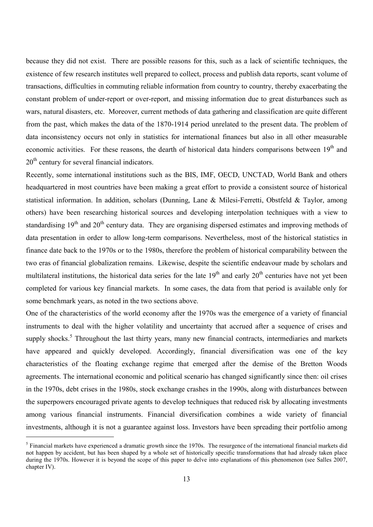because they did not exist. There are possible reasons for this, such as a lack of scientific techniques, the existence of few research institutes well prepared to collect, process and publish data reports, scant volume of transactions, difficulties in commuting reliable information from country to country, thereby exacerbating the constant problem of under-report or over-report, and missing information due to great disturbances such as wars, natural disasters, etc. Moreover, current methods of data gathering and classification are quite different from the past, which makes the data of the 1870-1914 period unrelated to the present data. The problem of data inconsistency occurs not only in statistics for international finances but also in all other measurable economic activities. For these reasons, the dearth of historical data hinders comparisons between 19<sup>th</sup> and  $20<sup>th</sup>$  century for several financial indicators.

Recently, some international institutions such as the BIS, IMF, OECD, UNCTAD, World Bank and others headquartered in most countries have been making a great effort to provide a consistent source of historical statistical information. In addition, scholars (Dunning, Lane & Milesi-Ferretti, Obstfeld & Taylor, among others) have been researching historical sources and developing interpolation techniques with a view to standardising  $19<sup>th</sup>$  and  $20<sup>th</sup>$  century data. They are organising dispersed estimates and improving methods of data presentation in order to allow long-term comparisons. Nevertheless, most of the historical statistics in finance date back to the 1970s or to the 1980s, therefore the problem of historical comparability between the two eras of financial globalization remains. Likewise, despite the scientific endeavour made by scholars and multilateral institutions, the historical data series for the late  $19<sup>th</sup>$  and early  $20<sup>th</sup>$  centuries have not yet been completed for various key financial markets. In some cases, the data from that period is available only for some benchmark years, as noted in the two sections above.

One of the characteristics of the world economy after the 1970s was the emergence of a variety of financial instruments to deal with the higher volatility and uncertainty that accrued after a sequence of crises and supply shocks.<sup>5</sup> Throughout the last thirty years, many new financial contracts, intermediaries and markets have appeared and quickly developed. Accordingly, financial diversification was one of the key characteristics of the floating exchange regime that emerged after the demise of the Bretton Woods agreements. The international economic and political scenario has changed significantly since then: oil crises in the 1970s, debt crises in the 1980s, stock exchange crashes in the 1990s, along with disturbances between the superpowers encouraged private agents to develop techniques that reduced risk by allocating investments among various financial instruments. Financial diversification combines a wide variety of financial investments, although it is not a guarantee against loss. Investors have been spreading their portfolio among

 $<sup>5</sup>$  Financial markets have experienced a dramatic growth since the 1970s. The resurgence of the international financial markets did</sup> not happen by accident, but has been shaped by a whole set of historically specific transformations that had already taken place during the 1970s. However it is beyond the scope of this paper to delve into explanations of this phenomenon (see Salles 2007, chapter IV).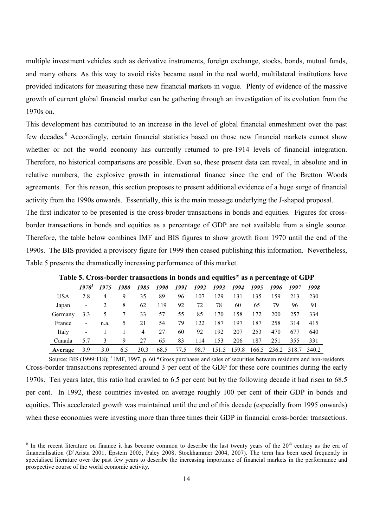multiple investment vehicles such as derivative instruments, foreign exchange, stocks, bonds, mutual funds, and many others. As this way to avoid risks became usual in the real world, multilateral institutions have provided indicators for measuring these new financial markets in vogue. Plenty of evidence of the massive growth of current global financial market can be gathering through an investigation of its evolution from the 1970s on.

This development has contributed to an increase in the level of global financial enmeshment over the past few decades.<sup>6</sup> Accordingly, certain financial statistics based on those new financial markets cannot show whether or not the world economy has currently returned to pre-1914 levels of financial integration. Therefore, no historical comparisons are possible. Even so, these present data can reveal, in absolute and in relative numbers, the explosive growth in international finance since the end of the Bretton Woods agreements. For this reason, this section proposes to present additional evidence of a huge surge of financial activity from the 1990s onwards. Essentially, this is the main message underlying the J-shaped proposal.

The first indicator to be presented is the cross-broder transactions in bonds and equities. Figures for crossborder transactions in bonds and equities as a percentage of GDP are not available from a single source. Therefore, the table below combines IMF and BIS figures to show growth from 1970 until the end of the 1990s. The BIS provided a provisory figure for 1999 then ceased publishing this information. Nevertheless, Table 5 presents the dramatically increasing performance of this market.

|            |                          |      |      |                |      |      |      |       |       |      | -           |       |       |
|------------|--------------------------|------|------|----------------|------|------|------|-------|-------|------|-------------|-------|-------|
|            | 1970'                    | 1975 | 1980 | 1985           | 1990 | 1991 | 1992 | 1993  | 1994  | 1995 | 1996        | 1997  | 1998  |
| <b>USA</b> | 2.8                      | 4    | 9    | 35             | 89   | 96   | 107  | 129   | 131   | 135  | 159         | 213   | 230   |
| Japan      | $\overline{\phantom{a}}$ | 2    | 8    | 62             | 119  | 92   | 72   | 78    | 60    | 65   | 79          | 96    | 91    |
| Germany    | 3.3                      |      |      | 33             | 57   | 55   | 85   | 170   | 158   | 172  | 200         | 257   | 334   |
| France     | $\blacksquare$           | n.a. | 5.   | 21             | 54   | 79   | 122  | 187   | 197   | 187  | 258         | 314   | 415   |
| Italy      | -                        |      |      | $\overline{4}$ | 27   | 60   | 92   | 192   | 207   | 253  | 470         | 677   | 640   |
| Canada     | 5.7                      | 3    | 9    | 27             | 65   | 83   | 114  | 153   | 206   | 187  | 251         | 355   | 331   |
| Average    | 3.9                      | 3.0  | 6.5  | 30.3           | 68.5 | 77.5 | 98.7 | 151.5 | 159.8 |      | 166.5 236.2 | 318.7 | 340.2 |

**Table 5. Cross-border transactions in bonds and equities\* as a percentage of GDP** 

Source: BIS (1999:118);  $<sup>1</sup>$  IMF, 1997, p. 60.\*Gross purchases and sales of securities between residents and non-residents</sup> Cross-border transactions represented around 3 per cent of the GDP for these core countries during the early 1970s. Ten years later, this ratio had crawled to 6.5 per cent but by the following decade it had risen to 68.5 per cent. In 1992, these countries invested on average roughly 100 per cent of their GDP in bonds and equities. This accelerated growth was maintained until the end of this decade (especially from 1995 onwards) when these economies were investing more than three times their GDP in financial cross-border transactions.

 $6$  In the recent literature on finance it has become common to describe the last twenty years of the  $20<sup>th</sup>$  century as the era of financialisation (D'Arista 2001, Epstein 2005, Paley 2008, Stockhammer 2004, 2007). The term has been used frequently in specialised literature over the past few years to describe the increasing importance of financial markets in the performance and prospective course of the world economic activity.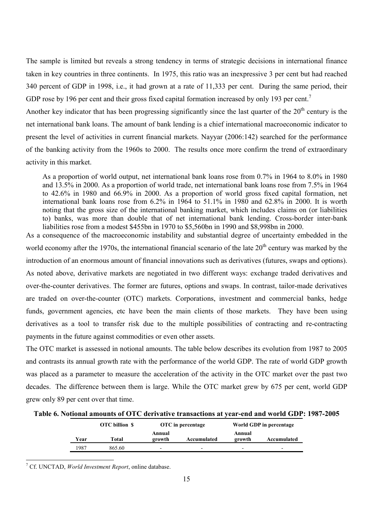The sample is limited but reveals a strong tendency in terms of strategic decisions in international finance taken in key countries in three continents. In 1975, this ratio was an inexpressive 3 per cent but had reached 340 percent of GDP in 1998, i.e., it had grown at a rate of 11,333 per cent. During the same period, their GDP rose by 196 per cent and their gross fixed capital formation increased by only 193 per cent.<sup>7</sup>

Another key indicator that has been progressing significantly since the last quarter of the  $20<sup>th</sup>$  century is the net international bank loans. The amount of bank lending is a chief international macroeconomic indicator to present the level of activities in current financial markets. Nayyar (2006:142) searched for the performance of the banking activity from the 1960s to 2000. The results once more confirm the trend of extraordinary activity in this market.

As a proportion of world output, net international bank loans rose from 0.7% in 1964 to 8.0% in 1980 and 13.5% in 2000. As a proportion of world trade, net international bank loans rose from 7.5% in 1964 to 42.6% in 1980 and 66.9% in 2000. As a proportion of world gross fixed capital formation, net international bank loans rose from 6.2% in 1964 to 51.1% in 1980 and 62.8% in 2000. It is worth noting that the gross size of the international banking market, which includes claims on (or liabilities to) banks, was more than double that of net international bank lending. Cross-border inter-bank liabilities rose from a modest \$455bn in 1970 to \$5,560bn in 1990 and \$8,998bn in 2000.

As a consequence of the macroeconomic instability and substantial degree of uncertainty embedded in the world economy after the 1970s, the international financial scenario of the late  $20<sup>th</sup>$  century was marked by the introduction of an enormous amount of financial innovations such as derivatives (futures, swaps and options). As noted above, derivative markets are negotiated in two different ways: exchange traded derivatives and over-the-counter derivatives. The former are futures, options and swaps. In contrast, tailor-made derivatives are traded on over-the-counter (OTC) markets. Corporations, investment and commercial banks, hedge funds, government agencies, etc have been the main clients of those markets. They have been using derivatives as a tool to transfer risk due to the multiple possibilities of contracting and re-contracting payments in the future against commodities or even other assets.

The OTC market is assessed in notional amounts. The table below describes its evolution from 1987 to 2005 and contrasts its annual growth rate with the performance of the world GDP. The rate of world GDP growth was placed as a parameter to measure the acceleration of the activity in the OTC market over the past two decades. The difference between them is large. While the OTC market grew by 675 per cent, world GDP grew only 89 per cent over that time.

| Table 6. Notional amounts of OTC derivative transactions at year-end and world GDP: 1987-2005 |  |
|-----------------------------------------------------------------------------------------------|--|
|-----------------------------------------------------------------------------------------------|--|

|      | <b>OTC</b> billion \$ |                  | OTC in percentage | World GDP in percentage  |                          |  |  |
|------|-----------------------|------------------|-------------------|--------------------------|--------------------------|--|--|
| Year | Total                 | Annual<br>growth | Accumulated       | Annual<br>growth         | Accumulated              |  |  |
| 1987 | 865.60                | -                | -                 | $\overline{\phantom{0}}$ | $\overline{\phantom{0}}$ |  |  |

7 Cf. UNCTAD, *World Investment Report*, online database.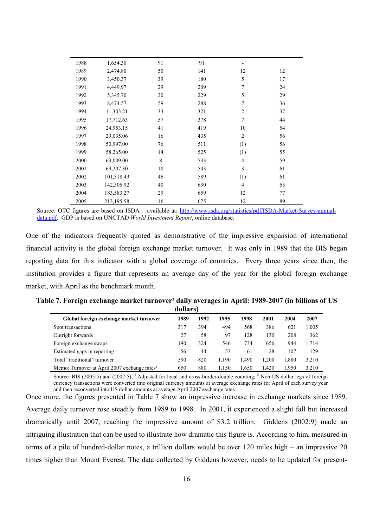| 1988 | 1,654.30   | 91 | 91  |                |    |
|------|------------|----|-----|----------------|----|
| 1989 | 2,474.80   | 50 | 141 | 12             | 12 |
| 1990 | 3,450.37   | 39 | 180 | 5              | 17 |
| 1991 | 4,449.97   | 29 | 209 | 7              | 24 |
| 1992 | 5,345.70   | 20 | 229 | 5              | 29 |
| 1993 | 8,474.57   | 59 | 288 | 7              | 36 |
| 1994 | 11,303.21  | 33 | 321 | $\overline{2}$ | 37 |
| 1995 | 17,712.63  | 57 | 378 | $\tau$         | 44 |
| 1996 | 24,953.15  | 41 | 419 | 10             | 54 |
| 1997 | 29,035.06  | 16 | 435 | $\overline{2}$ | 56 |
| 1998 | 50,997.00  | 76 | 511 | (1)            | 56 |
| 1999 | 58,265.00  | 14 | 525 | (1)            | 55 |
| 2000 | 63,009.00  | 8  | 533 | $\overline{4}$ | 59 |
| 2001 | 69,207.30  | 10 | 543 | 3              | 61 |
| 2002 | 101,318.49 | 46 | 589 | (1)            | 61 |
| 2003 | 142,306.92 | 40 | 630 | 4              | 65 |
| 2004 | 183,583.27 | 29 | 659 | 12             | 77 |
| 2005 | 213,195.58 | 16 | 675 | 12             | 89 |

Source: OTC figures are based on ISDA – available at: http://www.isda.org/statistics/pdf/ISDA-Market-Survey-annualdata.pdf. GDP is based on UNCTAD *World Investment Report*, online database.

One of the indicators frequently quoted as demonstrative of the impressive expansion of international financial activity is the global foreign exchange market turnover. It was only in 1989 that the BIS began reporting data for this indicator with a global coverage of countries. Every three years since then, the institution provides a figure that represents an average day of the year for the global foreign exchange market, with April as the benchmark month.

| Table 7. Foreign exchange market turnover <sup>1</sup> daily averages in April: 1989-2007 (in billions of US |          |  |  |
|--------------------------------------------------------------------------------------------------------------|----------|--|--|
|                                                                                                              | dollars) |  |  |

| Global foreign exchange market turnover                  | 1989 | 1992 | 1995  | 1998  | 2001  | 2004  | 2007  |
|----------------------------------------------------------|------|------|-------|-------|-------|-------|-------|
| Spot transactions                                        | 317  | 394  | 494   | 568   | 386   | 621   | 1.005 |
| Outright forwards                                        | 27   | 58   | 97    | 128   | 130   | 208   | 362   |
| Foreign exchange swaps                                   | 190  | 324  | 546   | 734   | 656   | 944   | 1.714 |
| Estimated gaps in reporting                              | 56   | 44   | 53    | 61    | 28    | 107   | 129   |
| Total "traditional" turnover                             | 590  | 820  | 1.190 | 1.490 | 1.200 | 1.880 | 3,210 |
| Memo: Turnover at April 2007 exchange rates <sup>2</sup> | 650  | 880  | 1.150 | 1.650 | 1.420 | 1.950 | 3.210 |

Source: BIS (2005:5) and (2007:5); <sup>1</sup> Adjusted for local and cross-border double counting; <sup>2</sup> Non-US dollar legs of foreign currency transactions were converted into original currency amounts at average exchange rates for April of each survey year and then reconverted into US dollar amounts at average April 2007 exchange rates.

Once more, the figures presented in Table 7 show an impressive increase in exchange markets since 1989. Average daily turnover rose steadily from 1989 to 1998. In 2001, it experienced a slight fall but increased dramatically until 2007, reaching the impressive amount of \$3.2 trillion. Giddens (2002:9) made an intriguing illustration that can be used to illustrate how dramatic this figure is. According to him, measured in terms of a pile of hundred-dollar notes, a trillion dollars would be over 120 miles high – an impressive 20 times higher than Mount Everest. The data collected by Giddens however, needs to be updated for present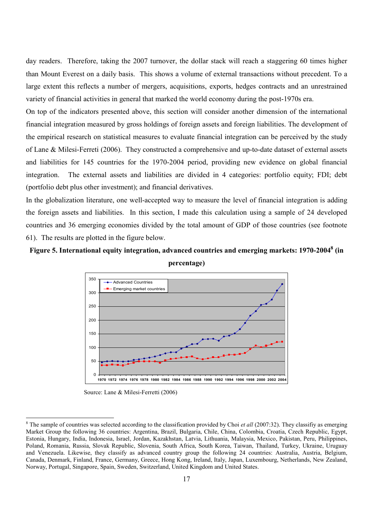day readers. Therefore, taking the 2007 turnover, the dollar stack will reach a staggering 60 times higher than Mount Everest on a daily basis. This shows a volume of external transactions without precedent. To a large extent this reflects a number of mergers, acquisitions, exports, hedges contracts and an unrestrained variety of financial activities in general that marked the world economy during the post-1970s era.

On top of the indicators presented above, this section will consider another dimension of the international financial integration measured by gross holdings of foreign assets and foreign liabilities. The development of the empirical research on statistical measures to evaluate financial integration can be perceived by the study of Lane & Milesi-Ferreti (2006). They constructed a comprehensive and up-to-date dataset of external assets and liabilities for 145 countries for the 1970-2004 period, providing new evidence on global financial integration. The external assets and liabilities are divided in 4 categories: portfolio equity; FDI; debt (portfolio debt plus other investment); and financial derivatives.

In the globalization literature, one well-accepted way to measure the level of financial integration is adding the foreign assets and liabilities. In this section, I made this calculation using a sample of 24 developed countries and 36 emerging economies divided by the total amount of GDP of those countries (see footnote 61). The results are plotted in the figure below.

# **Figure 5. International equity integration, advanced countries and emerging markets: 1970-2004<sup>8</sup> (in**





Source: Lane & Milesi-Ferretti (2006)

<sup>&</sup>lt;sup>8</sup> The sample of countries was selected according to the classification provided by Choi *et all* (2007:32). They classifiy as emerging Market Group the following 36 countries: Argentina, Brazil, Bulgaria, Chile, China, Colombia, Croatia, Czech Republic, Egypt, Estonia, Hungary, India, Indonesia, Israel, Jordan, Kazakhstan, Latvia, Lithuania, Malaysia, Mexico, Pakistan, Peru, Philippines, Poland, Romania, Russia, Slovak Republic, Slovenia, South Africa, South Korea, Taiwan, Thailand, Turkey, Ukraine, Uruguay and Venezuela. Likewise, they classify as advanced country group the following 24 countries: Australia, Austria, Belgium, Canada, Denmark, Finland, France, Germany, Greece, Hong Kong, Ireland, Italy, Japan, Luxembourg, Netherlands, New Zealand, Norway, Portugal, Singapore, Spain, Sweden, Switzerland, United Kingdom and United States.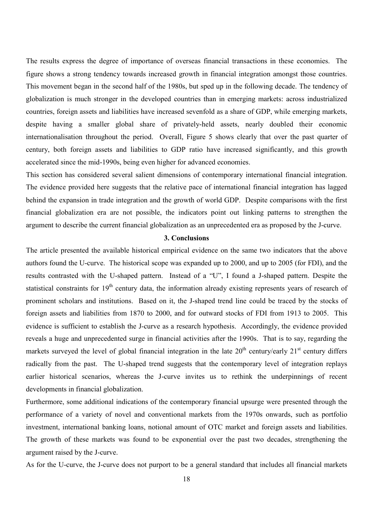The results express the degree of importance of overseas financial transactions in these economies. The figure shows a strong tendency towards increased growth in financial integration amongst those countries. This movement began in the second half of the 1980s, but sped up in the following decade. The tendency of globalization is much stronger in the developed countries than in emerging markets: across industrialized countries, foreign assets and liabilities have increased sevenfold as a share of GDP, while emerging markets, despite having a smaller global share of privately-held assets, nearly doubled their economic internationalisation throughout the period. Overall, Figure 5 shows clearly that over the past quarter of century, both foreign assets and liabilities to GDP ratio have increased significantly, and this growth accelerated since the mid-1990s, being even higher for advanced economies.

This section has considered several salient dimensions of contemporary international financial integration. The evidence provided here suggests that the relative pace of international financial integration has lagged behind the expansion in trade integration and the growth of world GDP. Despite comparisons with the first financial globalization era are not possible, the indicators point out linking patterns to strengthen the argument to describe the current financial globalization as an unprecedented era as proposed by the J-curve.

### **3. Conclusions**

The article presented the available historical empirical evidence on the same two indicators that the above authors found the U-curve. The historical scope was expanded up to 2000, and up to 2005 (for FDI), and the results contrasted with the U-shaped pattern. Instead of a "U", I found a J-shaped pattern. Despite the statistical constraints for 19<sup>th</sup> century data, the information already existing represents years of research of prominent scholars and institutions. Based on it, the J-shaped trend line could be traced by the stocks of foreign assets and liabilities from 1870 to 2000, and for outward stocks of FDI from 1913 to 2005. This evidence is sufficient to establish the J-curve as a research hypothesis. Accordingly, the evidence provided reveals a huge and unprecedented surge in financial activities after the 1990s. That is to say, regarding the markets surveyed the level of global financial integration in the late  $20<sup>th</sup>$  century/early  $21<sup>st</sup>$  century differs radically from the past. The U-shaped trend suggests that the contemporary level of integration replays earlier historical scenarios, whereas the J-curve invites us to rethink the underpinnings of recent developments in financial globalization.

Furthermore, some additional indications of the contemporary financial upsurge were presented through the performance of a variety of novel and conventional markets from the 1970s onwards, such as portfolio investment, international banking loans, notional amount of OTC market and foreign assets and liabilities. The growth of these markets was found to be exponential over the past two decades, strengthening the argument raised by the J-curve.

As for the U-curve, the J-curve does not purport to be a general standard that includes all financial markets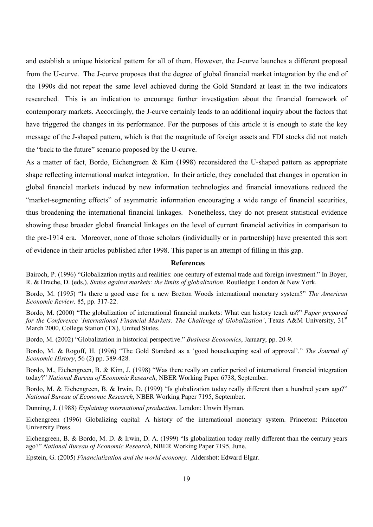and establish a unique historical pattern for all of them. However, the J-curve launches a different proposal from the U-curve. The J-curve proposes that the degree of global financial market integration by the end of the 1990s did not repeat the same level achieved during the Gold Standard at least in the two indicators researched. This is an indication to encourage further investigation about the financial framework of contemporary markets. Accordingly, the J-curve certainly leads to an additional inquiry about the factors that have triggered the changes in its performance. For the purposes of this article it is enough to state the key message of the J-shaped pattern, which is that the magnitude of foreign assets and FDI stocks did not match the "back to the future" scenario proposed by the U-curve.

As a matter of fact, Bordo, Eichengreen & Kim (1998) reconsidered the U-shaped pattern as appropriate shape reflecting international market integration. In their article, they concluded that changes in operation in global financial markets induced by new information technologies and financial innovations reduced the "market-segmenting effects" of asymmetric information encouraging a wide range of financial securities, thus broadening the international financial linkages. Nonetheless, they do not present statistical evidence showing these broader global financial linkages on the level of current financial activities in comparison to the pre-1914 era. Moreover, none of those scholars (individually or in partnership) have presented this sort of evidence in their articles published after 1998. This paper is an attempt of filling in this gap.

#### **References**

Bairoch, P. (1996) "Globalization myths and realities: one century of external trade and foreign investment." In Boyer, R. & Drache, D. (eds.). *States against markets: the limits of globalization*. Routledge: London & New York.

Bordo, M. (1995) "Is there a good case for a new Bretton Woods international monetary system?" *The American Economic Review*. 85, pp. 317-22.

Bordo, M. (2000) "The globalization of international financial markets: What can history teach us?" *Paper prepared for the Conference 'International Financial Markets: The Challenge of Globalization'*, Texas A&M University, 31<sup>st</sup> March 2000, College Station (TX), United States.

Bordo, M. (2002) "Globalization in historical perspective." *Business Economics*, January, pp. 20-9.

Bordo, M. & Rogoff, H. (1996) "The Gold Standard as a 'good housekeeping seal of approval'." *The Journal of Economic History*, 56 (2) pp. 389-428.

Bordo, M., Eichengreen, B. & Kim, J. (1998) "Was there really an earlier period of international financial integration today?" *National Bureau of Economic Research*, NBER Working Paper 6738, September.

Bordo, M. & Eichengreen, B. & Irwin, D. (1999) "Is globalization today really different than a hundred years ago?" *National Bureau of Economic Research*, NBER Working Paper 7195, September.

Dunning, J. (1988) *Explaining international production*. London: Unwin Hyman.

Eichengreen (1996) Globalizing capital: A history of the international monetary system. Princeton: Princeton University Press.

Eichengreen, B. & Bordo, M. D. & Irwin, D. A. (1999) "Is globalization today really different than the century years ago?" *National Bureau of Economic Research*, NBER Working Paper 7195, June.

Epstein, G. (2005) *Financialization and the world economy*. Aldershot: Edward Elgar.